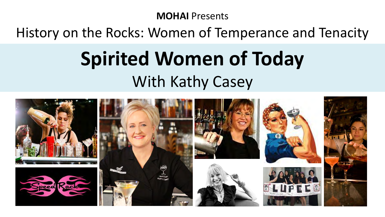#### **MOHAI** Presents

### History on the Rocks: Women of Temperance and Tenacity

# **Spirited Women of Today**  With Kathy Casey

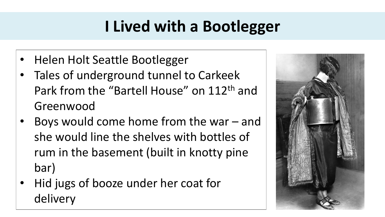# **I Lived with a Bootlegger**

- Helen Holt Seattle Bootlegger
- Tales of underground tunnel to Carkeek Park from the "Bartell House" on 112th and Greenwood
- Boys would come home from the war and she would line the shelves with bottles of rum in the basement (built in knotty pine bar)
- Hid jugs of booze under her coat for delivery

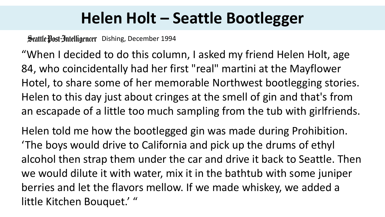## **Helen Holt – Seattle Bootlegger**

Scattle Dost-Intelligencer Dishing, December 1994

"When I decided to do this column, I asked my friend Helen Holt, age 84, who coincidentally had her first "real" martini at the Mayflower Hotel, to share some of her memorable Northwest bootlegging stories. Helen to this day just about cringes at the smell of gin and that's from an escapade of a little too much sampling from the tub with girlfriends.

Helen told me how the bootlegged gin was made during Prohibition. 'The boys would drive to California and pick up the drums of ethyl alcohol then strap them under the car and drive it back to Seattle. Then we would dilute it with water, mix it in the bathtub with some juniper berries and let the flavors mellow. If we made whiskey, we added a little Kitchen Bouquet.' "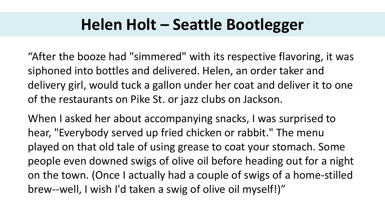### **Helen Holt – Seattle Bootlegger**

"After the booze had "simmered" with its respective flavoring, it was siphoned into bottles and delivered. Helen, an order taker and delivery girl, would tuck a gallon under her coat and deliver it to one of the restaurants on Pike St. or jazz clubs on Jackson.

When I asked her about accompanying snacks, I was surprised to hear, "Everybody served up fried chicken or rabbit." The menu played on that old tale of using grease to coat your stomach. Some people even downed swigs of olive oil before heading out for a night on the town. (Once I actually had a couple of swigs of a home-stilled brew--well, I wish I'd taken a swig of olive oil myself!)"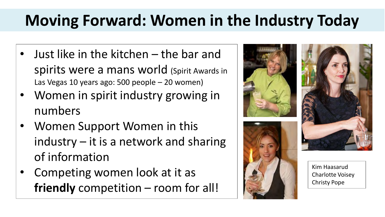# **Moving Forward: Women in the Industry Today**

- Just like in the kitchen the bar and spirits were a mans world (Spirit Awards in Las Vegas 10 years ago: 500 people – 20 women)
- Women in spirit industry growing in numbers
- Women Support Women in this industry – it is a network and sharing of information
- Competing women look at it as **friendly** competition – room for all!

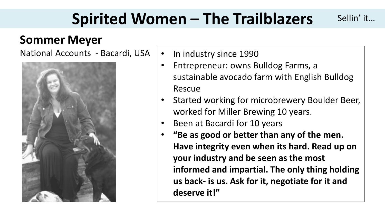# **Spirited Women – The Trailblazers**

### **Sommer Meyer**

National Accounts - Bacardi, USA  $\vert \cdot \vert$  In industry since 1990



• Entrepreneur: owns Bulldog Farms, a sustainable avocado farm with English Bulldog Rescue

Sellin' it…

- Started working for microbrewery Boulder Beer, worked for Miller Brewing 10 years.
- Been at Bacardi for 10 years
- **"Be as good or better than any of the men. Have integrity even when its hard. Read up on your industry and be seen as the most informed and impartial. The only thing holding us back- is us. Ask for it, negotiate for it and deserve it!"**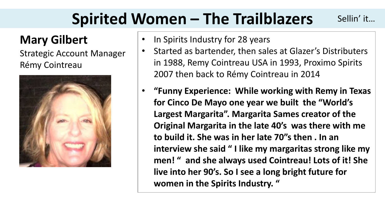# **Spirited Women – The Trailblazers**

### **Mary Gilbert**

Strategic Account Manager Rémy Cointreau



- In Spirits Industry for 28 years
- Started as bartender, then sales at Glazer's Distributers in 1988, Remy Cointreau USA in 1993, Proximo Spirits 2007 then back to Rémy Cointreau in 2014

Sellin' it…

• **"Funny Experience: While working with Remy in Texas for Cinco De Mayo one year we built the "World's Largest Margarita". Margarita Sames creator of the Original Margarita in the late 40's was there with me to build it. She was in her late 70"s then . In an interview she said " I like my margaritas strong like my men! " and she always used Cointreau! Lots of it! She live into her 90's. So I see a long bright future for women in the Spirits Industry. "**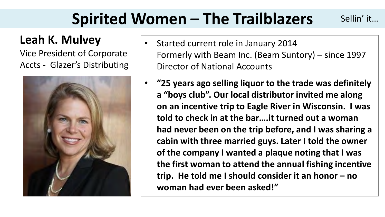#### **Spirited Women – The Trailblazers**  Sellin' it…

### **Leah K. Mulvey**

Vice President of Corporate Accts - Glazer's Distributing



- Started current role in January 2014 Formerly with Beam Inc. (Beam Suntory) – since 1997 Director of National Accounts
- **"25 years ago selling liquor to the trade was definitely a "boys club". Our local distributor invited me along on an incentive trip to Eagle River in Wisconsin. I was told to check in at the bar….it turned out a woman had never been on the trip before, and I was sharing a cabin with three married guys. Later I told the owner of the company I wanted a plaque noting that I was the first woman to attend the annual fishing incentive trip. He told me I should consider it an honor – no woman had ever been asked!"**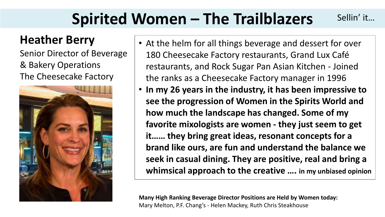#### **Spirited Women – The Trailblazers**  Sellin' it…

### **Heather Berry**

Senior Director of Beverage & Bakery Operations The Cheesecake Factory



- At the helm for all things beverage and dessert for over 180 Cheesecake Factory restaurants, Grand Lux Café restaurants, and Rock Sugar Pan Asian Kitchen - Joined the ranks as a Cheesecake Factory manager in 1996
- **In my 26 years in the industry, it has been impressive to see the progression of Women in the Spirits World and how much the landscape has changed. Some of my favorite mixologists are women - they just seem to get it…… they bring great ideas, resonant concepts for a brand like ours, are fun and understand the balance we seek in casual dining. They are positive, real and bring a whimsical approach to the creative …. in my unbiased opinion**

**Many High Ranking Beverage Director Positions are Held by Women today:**  Mary Melton, P.F. Chang's - Helen Mackey, Ruth Chris Steakhouse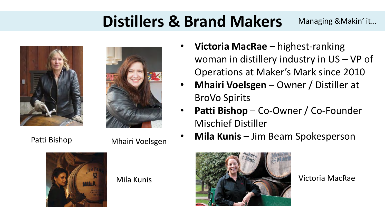# **Distillers & Brand Makers**

Managing &Makin' it…









- **Victoria MacRae**  highest-ranking woman in distillery industry in US – VP of Operations at Maker's Mark since 2010
- **Mhairi Voelsgen**  Owner / Distiller at BroVo Spirits
- **Patti Bishop** Co-Owner / Co-Founder Mischief Distiller
- **Mila Kunis**  Jim Beam Spokesperson

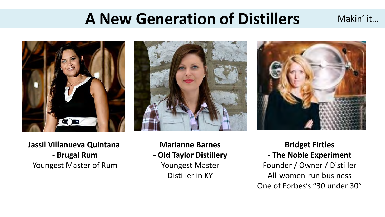## **A New Generation of Distillers**





Makin' it…

**Jassil Villanueva Quintana - Brugal Rum**  Youngest Master of Rum

**Marianne Barnes - Old Taylor Distillery**  Youngest Master

Distiller in KY

**Bridget Firtles - The Noble Experiment**  Founder / Owner / Distiller All-women-run business One of Forbes's "30 under 30"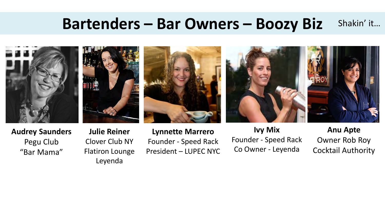#### **Bartenders – Bar Owners – Boozy Biz**  Shakin' it…



**Audrey Saunders**  Pegu Club "Bar Mama"

**Julie Reiner**  Clover Club NY Flatiron Lounge Leyenda

**Lynnette Marrero**  Founder - Speed Rack President – LUPEC NYC

**Ivy Mix**  Founder - Speed Rack Co Owner - Leyenda

**Anu Apte**  Owner Rob Roy Cocktail Authority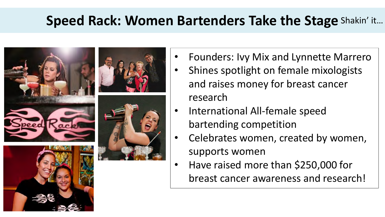### **Speed Rack: Women Bartenders Take the Stage**  Shakin' it…



- Founders: Ivy Mix and Lynnette Marrero
- Shines spotlight on female mixologists and raises money for breast cancer research
- International All-female speed bartending competition
- Celebrates women, created by women, supports women
- Have raised more than \$250,000 for breast cancer awareness and research!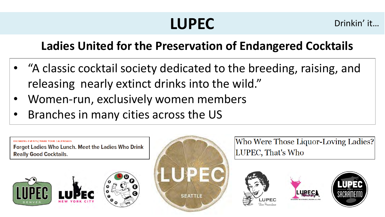# **LUPEC**

Drinkin' it…

### **Ladies United for the Preservation of Endangered Cocktails**

- "A classic cocktail society dedicated to the breeding, raising, and releasing nearly extinct drinks into the wild."
- Women-run, exclusively women members
- Branches in many cities across the US



**DRINKING EVENTS/MARK YOUR CALENDARS** 



Who Were Those Liquor-Loving Ladies? LUPEC, That's Who





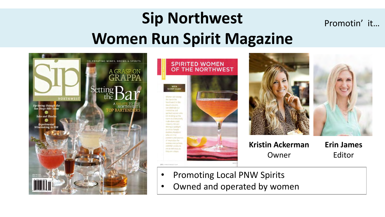### **Sip Northwest Women Run Spirit Magazine**  Promotin' it…









**Kristin Ackerman**  Owner

**Erin James**  Editor

- Promoting Local PNW Spirits
- Owned and operated by women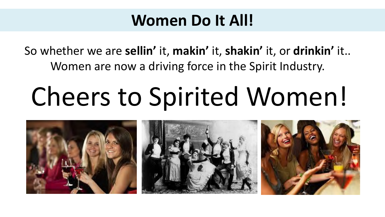### **Women Do It All!**

So whether we are **sellin'** it, **makin'** it, **shakin'** it, or **drinkin'** it.. Women are now a driving force in the Spirit Industry.

# Cheers to Spirited Women!